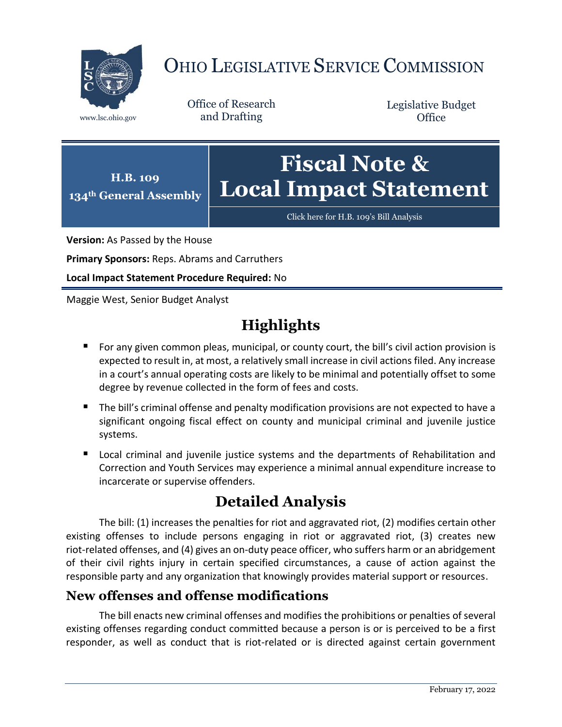

# OHIO LEGISLATIVE SERVICE COMMISSION

Office of Research www.lsc.ohio.gov and Drafting

Legislative Budget **Office** 



[Click here for H.B. 109](https://www.legislature.ohio.gov/legislation/legislation-documents?id=GA134-HB-109)'s Bill Analysis

**Version:** As Passed by the House

**Primary Sponsors:** Reps. Abrams and Carruthers

**Local Impact Statement Procedure Required:** No

Maggie West, Senior Budget Analyst

# **Highlights**

- **For any given common pleas, municipal, or county court, the bill's civil action provision is** expected to result in, at most, a relatively small increase in civil actions filed. Any increase in a court's annual operating costs are likely to be minimal and potentially offset to some degree by revenue collected in the form of fees and costs.
- The bill's criminal offense and penalty modification provisions are not expected to have a significant ongoing fiscal effect on county and municipal criminal and juvenile justice systems.
- **E** Local criminal and juvenile justice systems and the departments of Rehabilitation and Correction and Youth Services may experience a minimal annual expenditure increase to incarcerate or supervise offenders.

## **Detailed Analysis**

The bill: (1) increases the penalties for riot and aggravated riot, (2) modifies certain other existing offenses to include persons engaging in riot or aggravated riot, (3) creates new riot-related offenses, and (4) gives an on-duty peace officer, who suffers harm or an abridgement of their civil rights injury in certain specified circumstances, a cause of action against the responsible party and any organization that knowingly provides material support or resources.

### **New offenses and offense modifications**

The bill enacts new criminal offenses and modifies the prohibitions or penalties of several existing offenses regarding conduct committed because a person is or is perceived to be a first responder, as well as conduct that is riot-related or is directed against certain government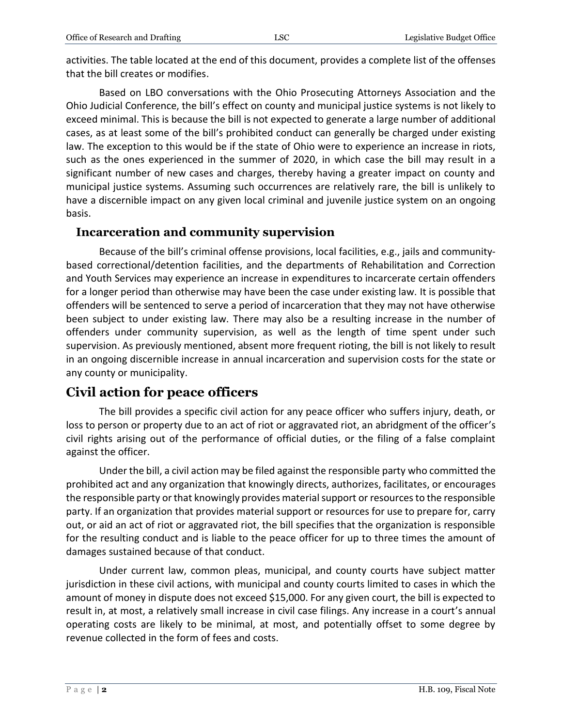activities. The table located at the end of this document, provides a complete list of the offenses that the bill creates or modifies.

Based on LBO conversations with the Ohio Prosecuting Attorneys Association and the Ohio Judicial Conference, the bill's effect on county and municipal justice systems is not likely to exceed minimal. This is because the bill is not expected to generate a large number of additional cases, as at least some of the bill's prohibited conduct can generally be charged under existing law. The exception to this would be if the state of Ohio were to experience an increase in riots, such as the ones experienced in the summer of 2020, in which case the bill may result in a significant number of new cases and charges, thereby having a greater impact on county and municipal justice systems. Assuming such occurrences are relatively rare, the bill is unlikely to have a discernible impact on any given local criminal and juvenile justice system on an ongoing basis.

#### **Incarceration and community supervision**

Because of the bill's criminal offense provisions, local facilities, e.g., jails and communitybased correctional/detention facilities, and the departments of Rehabilitation and Correction and Youth Services may experience an increase in expenditures to incarcerate certain offenders for a longer period than otherwise may have been the case under existing law. It is possible that offenders will be sentenced to serve a period of incarceration that they may not have otherwise been subject to under existing law. There may also be a resulting increase in the number of offenders under community supervision, as well as the length of time spent under such supervision. As previously mentioned, absent more frequent rioting, the bill is not likely to result in an ongoing discernible increase in annual incarceration and supervision costs for the state or any county or municipality.

### **Civil action for peace officers**

The bill provides a specific civil action for any peace officer who suffers injury, death, or loss to person or property due to an act of riot or aggravated riot, an abridgment of the officer's civil rights arising out of the performance of official duties, or the filing of a false complaint against the officer.

Under the bill, a civil action may be filed against the responsible party who committed the prohibited act and any organization that knowingly directs, authorizes, facilitates, or encourages the responsible party or that knowingly provides material support or resources to the responsible party. If an organization that provides material support or resources for use to prepare for, carry out, or aid an act of riot or aggravated riot, the bill specifies that the organization is responsible for the resulting conduct and is liable to the peace officer for up to three times the amount of damages sustained because of that conduct.

Under current law, common pleas, municipal, and county courts have subject matter jurisdiction in these civil actions, with municipal and county courts limited to cases in which the amount of money in dispute does not exceed \$15,000. For any given court, the bill is expected to result in, at most, a relatively small increase in civil case filings. Any increase in a court's annual operating costs are likely to be minimal, at most, and potentially offset to some degree by revenue collected in the form of fees and costs.